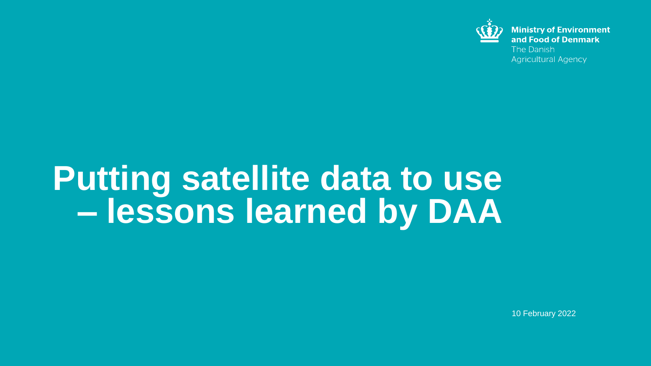

**Ministry of Environment** and Food of Denmark The Danish **Agricultural Agency** 

# **Putting satellite data to use – lessons learned by DAA**

10 February 2022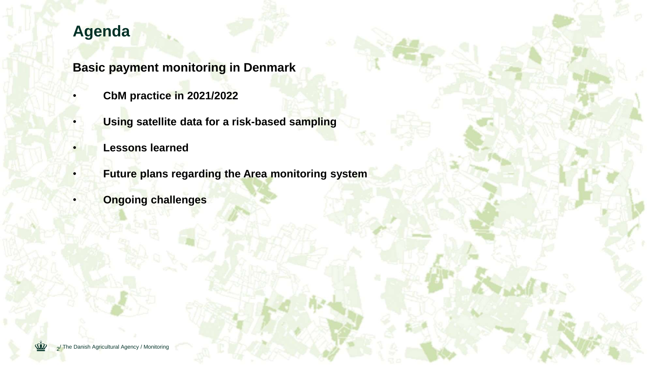# **Agenda**

**Basic payment monitoring in Denmark**

- **CbM practice in 2021/2022**
- **Using satellite data for a risk-based sampling**
- **Lessons learned**
- **Future plans regarding the Area monitoring system**
	- **Ongoing challenges**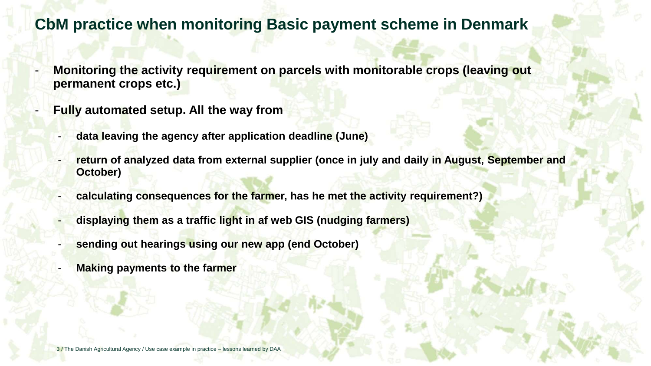#### **CbM practice when monitoring Basic payment scheme in Denmark**

- **Monitoring the activity requirement on parcels with monitorable crops (leaving out permanent crops etc.)**
- **Fully automated setup. All the way from** 
	- **data leaving the agency after application deadline (June)**
	- **return of analyzed data from external supplier (once in july and daily in August, September and October)**
	- **calculating consequences for the farmer, has he met the activity requirement?)**
	- **displaying them as a traffic light in af web GIS (nudging farmers)**
	- **sending out hearings using our new app (end October)**
	- **Making payments to the farmer**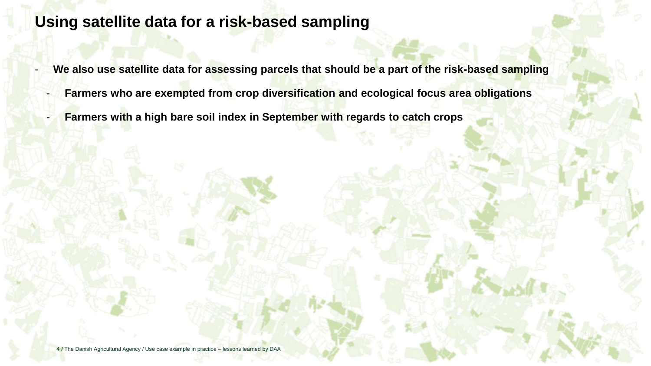### **Using satellite data for a risk-based sampling**

- We also use satellite data for assessing parcels that should be a part of the risk-based sampling
	- **Farmers who are exempted from crop diversification and ecological focus area obligations**
- **Farmers with a high bare soil index in September with regards to catch crops**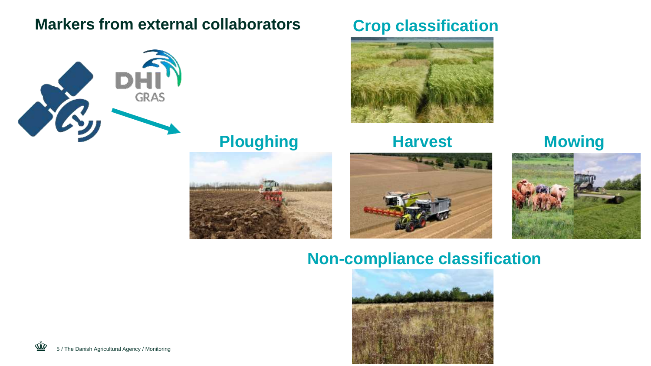# **Markers from external collaborators Crop classification**



**Ploughing Harvest Mowing** 







### **Non-compliance classification**

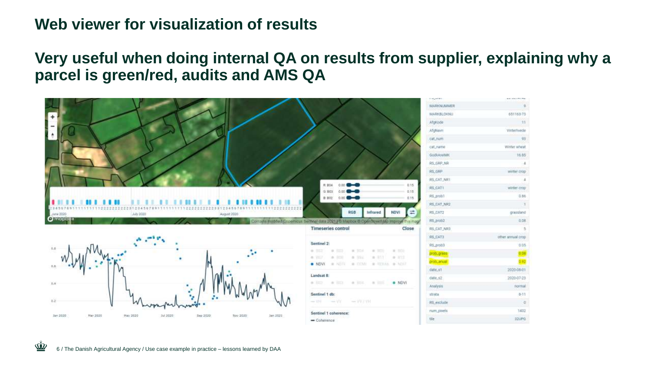### **Web viewer for visualization of results**

#### **Very useful when doing internal QA on results from supplier, explaining why a parcel is green/red, audits and AMS QA**

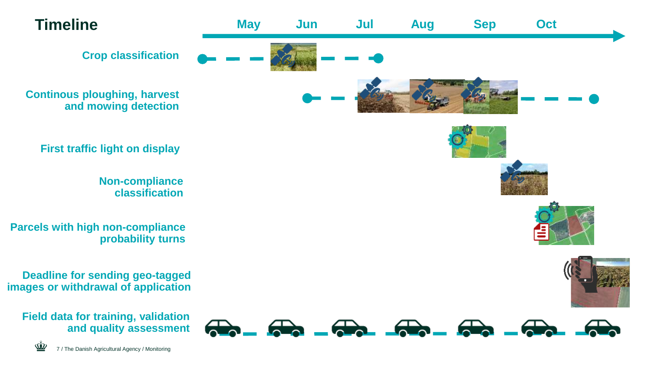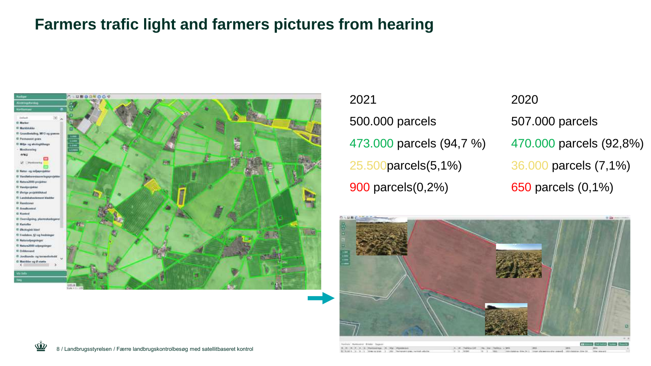## **Farmers trafic light and farmers pictures from hearing**



2021 500.000 parcels 473.000 parcels (94,7 %) 25.500parcels(5,1%) 900 parcels(0,2%)

2020 507.000 parcels 470.000 parcels (92,8%) 36.000 parcels (7,1%) 650 parcels (0,1%)



 $-144$ 

At M. R. F. A. E. Methodolph Jr., Mp. Mysterine A. M. Thereby Line Har Testator + 1972 1.8 .- 1. State of the 1.1 .- 2021. Permanent plan, memory address. 6,78.39

tractile 24.1. Itram eleme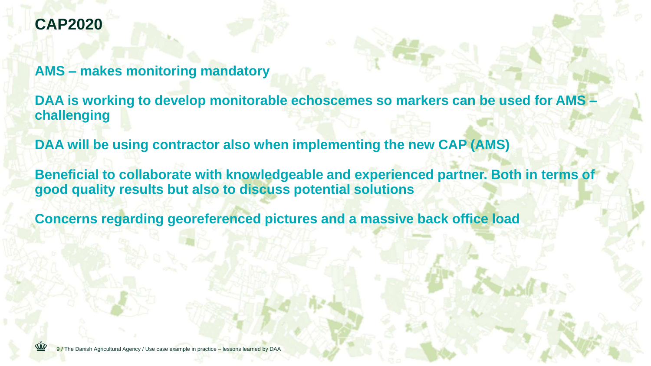# **CAP2020**

**AMS – makes monitoring mandatory** 

**DAA is working to develop monitorable echoscemes so markers can be used for AMS – challenging**

**DAA will be using contractor also when implementing the new CAP (AMS)**

**Beneficial to collaborate with knowledgeable and experienced partner. Both in terms of good quality results but also to discuss potential solutions**

**Concerns regarding georeferenced pictures and a massive back office load**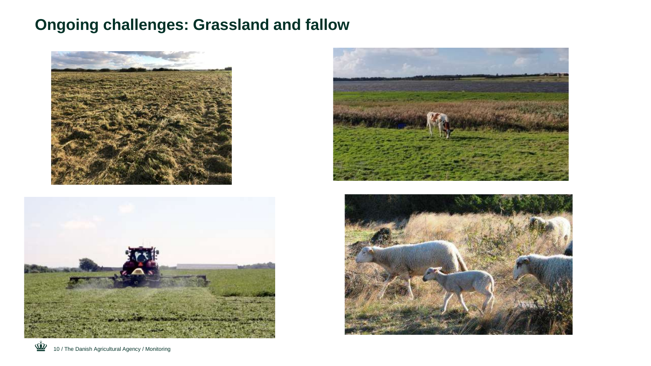# **Ongoing challenges: Grassland and fallow**







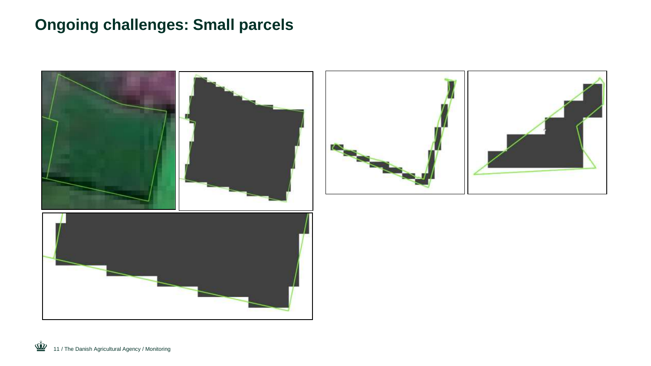# **Ongoing challenges: Small parcels**

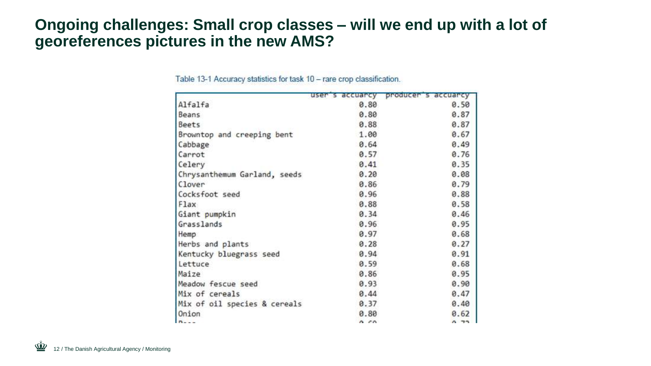### **Ongoing challenges: Small crop classes – will we end up with a lot of georeferences pictures in the new AMS?**

|                              | user's accuarcy | producer's accuarcy |
|------------------------------|-----------------|---------------------|
| Alfalfa                      | 0.80            | 0.50                |
| Beans                        | 0.80            | 0.87                |
| Beets                        | 0.88            | 0.87                |
| Browntop and creeping bent   | 1.00            | 0.67                |
| Cabbage                      | 0.64            | 0.49                |
| Carrot                       | 0.57            | 0.76                |
| Celery                       | 0.41            | 0.35                |
| Chrysanthemum Garland, seeds | 0.20            | 0.08                |
| Clover                       | 0.86            | 0.79                |
| Cocksfoot seed               | 0.96            | 0.88                |
| Flax                         | 0.88            | 0.58                |
| Giant pumpkin                | 0.34            | 0.46                |
| Grasslands                   | 0.96            | 0.95                |
| <b>Hemp</b>                  | 0.97            | 0.68                |
| Herbs and plants             | 0.28            | 0.27                |
| Kentucky bluegrass seed      | 0.94            | 0.91                |
| Lettuce                      | 0.59            | 0.68                |
| Maize                        | 0.86            | 0.95                |
| Meadow fescue seed           | 0.93            | 0.90                |
| Mix of cereals               | 0.44            | 0.47                |
| Mix of oil species & cereals | 0.37            | 0.40                |
| Onion                        | 0.80            | 0.62                |
| $n - -$                      | 0.55            | 0.75                |

Table 13-1 Accuracy statistics for task 10 - rare crop classification.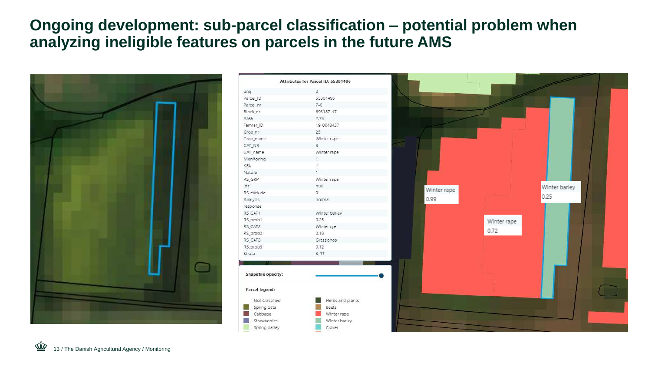### **Ongoing development: sub-parcel classification – potential problem when analyzing ineligible features on parcels in the future AMS**



|         | Attributes for Parcel ID: 55301496 |             |             |               |  |
|---------|------------------------------------|-------------|-------------|---------------|--|
|         | $\overline{2}$                     |             |             |               |  |
|         | 55301496                           |             |             |               |  |
|         | $7 - 0$                            |             |             |               |  |
|         | 693187-47                          |             |             |               |  |
|         | 2.75                               |             |             |               |  |
|         | 19-0048437                         |             |             |               |  |
|         | 25                                 |             |             |               |  |
|         | Winter rape                        |             |             |               |  |
|         | $\rm ^8$                           |             |             |               |  |
|         | Winter rape                        |             |             |               |  |
|         | $\frac{1}{2}$                      |             |             |               |  |
|         |                                    |             |             |               |  |
|         |                                    |             |             |               |  |
|         | Winter rape                        |             |             |               |  |
|         | nuil                               |             |             | Winter barley |  |
|         | O.                                 | Winter rape |             |               |  |
|         | normal                             | 0.99        |             | 0.25          |  |
|         |                                    |             |             |               |  |
|         | Winter barley                      |             |             |               |  |
|         | 0.25                               |             | Winter rape |               |  |
|         | Winter rye                         |             |             |               |  |
|         | 0.18                               |             | 0.72        |               |  |
|         | Grasslands                         |             |             |               |  |
|         | 0.12                               |             |             |               |  |
|         | $8 - 11$                           |             |             |               |  |
|         |                                    |             |             |               |  |
|         |                                    |             |             |               |  |
| pacity: |                                    |             |             |               |  |
|         |                                    |             |             |               |  |
| :bı     |                                    |             |             |               |  |
| sified  | Herbs and plants                   |             |             |               |  |
| ats.    | <b>Beets</b>                       |             |             |               |  |
| è.      | Winter rape                        |             |             |               |  |
| nes.    | Winter barley                      |             |             |               |  |
| arley   | Clover                             |             |             |               |  |
|         |                                    |             |             |               |  |